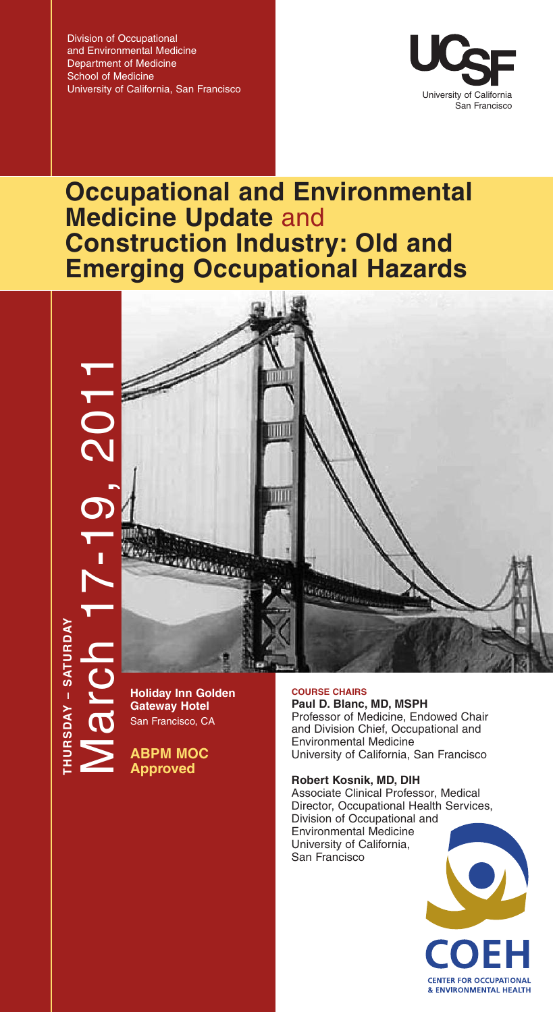Division of Occupational and Environmental Medicine Department of Medicine School of Medicine University of California, San Francisco



# **Occupational and Environmental Medicine Update** and **Construction Industry: Old and Emerging Occupational Hazards**



**Holiday Inn Golden Gateway Hotel** San Francisco, CA

**THURSDAY – SATURDAY**

HURSDAY - SATURDAY

**ABPM MOC Approved**

**COURSE CHAIRS**

**Paul D. Blanc, MD, MSPH** Professor of Medicine, Endowed Chair and Division Chief, Occupational and Environmental Medicine University of California, San Francisco

## **Robert Kosnik, MD, DIH**

Associate Clinical Professor, Medical Director, Occupational Health Services, Division of Occupational and Environmental Medicine University of California, San Francisco

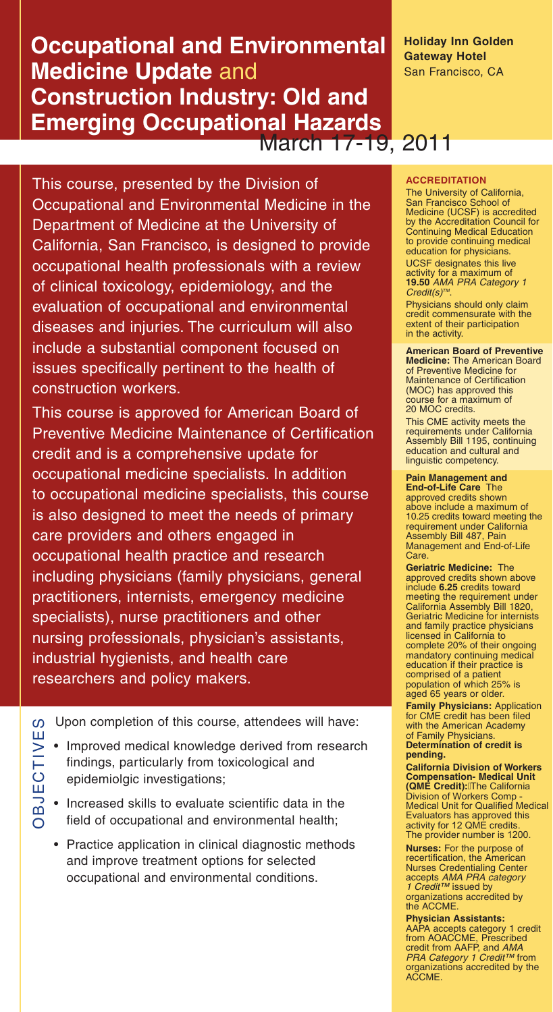# **Occupational and Environmental Medicine Update** and **Construction Industry: Old and Emerging Occupational Hazards** March 17-19, 2011

This course, presented by the Division of Occupational and Environmental Medicine in the Department of Medicine at the University of California, San Francisco, is designed to provide occupational health professionals with a review of clinical toxicology, epidemiology, and the evaluation of occupational and environmental diseases and injuries. The curriculum will also include a substantial component focused on issues specifically pertinent to the health of construction workers.

This course is approved for American Board of Preventive Medicine Maintenance of Certification credit and is a comprehensive update for occupational medicine specialists. In addition to occupational medicine specialists, this course is also designed to meet the needs of primary care providers and others engaged in occupational health practice and research including physicians (family physicians, general practitioners, internists, emergency medicine specialists), nurse practitioners and other nursing professionals, physician's assistants, industrial hygienists, and health care researchers and policy makers.

Upon completion of this course, attendees will have:

- Improved medical knowledge derived from research findings, particularly from toxicological and epidemiolgic investigations;
- Increased skills to evaluate scientific data in the field of occupational and environmental health;

OBJECTIVES

**BJECTIVE** 

 $\boldsymbol{\omega}$ 

• Practice application in clinical diagnostic methods and improve treatment options for selected occupational and environmental conditions.

**Holiday Inn Golden Gateway Hotel** San Francisco, CA

### **ACCREDITATION**

The University of California, San Francisco School of Medicine (UCSF) is accredited by the Accreditation Council for Continuing Medical Education to provide continuing medical education for physicians. UCSF designates this live

activity for a maximum of **19.50** *AMA PRA Category 1 Credit(s)TM*.

Physicians should only claim credit commensurate with the extent of their participation in the activity.

#### **American Board of Preventive Medicine:** The American Board

of Preventive Medicine for Maintenance of Certification (MOC) has approved this course for a maximum of 20 MOC credits.

This CME activity meets the requirements under California Assembly Bill 1195, continuing education and cultural and linguistic competency.

# **Pain Management and**

**End-of-Life Care** The approved credits shown above include a maximum of 10.25 credits toward meeting the requirement under California Assembly Bill 487, Pain Management and End-of-Life Care.

**Geriatric Medicine:** The approved credits shown above include **6.25** credits toward meeting the requirement under California Assembly Bill 1820, Geriatric Medicine for internists and family practice physicians licensed in California to complete 20% of their ongoing mandatory continuing medical education if their practice is comprised of a patient population of which 25% is aged 65 years or older.

**Family Physicians:** Application for CME credit has been filed with the American Academy of Family Physicians. **Determination of credit is pending.**

**California Division of Workers Compensation- Medical Unit (QME Credit):**The California Division of Workers Comp - Medical Unit for Qualified Medical Evaluators has approved this activity for 12 QME credits. The provider number is 1200.

**Nurses:** For the purpose of recertification, the American Nurses Credentialing Center accepts *AMA PRA category 1 Credit™* issued by organizations accredited by the ACCME.

**Physician Assistants:** AAPA accepts category 1 credit from AOACCME, Prescribed credit from AAFP, and *AMA PRA Category 1 Credit™* from organizations accredited by the ACCME.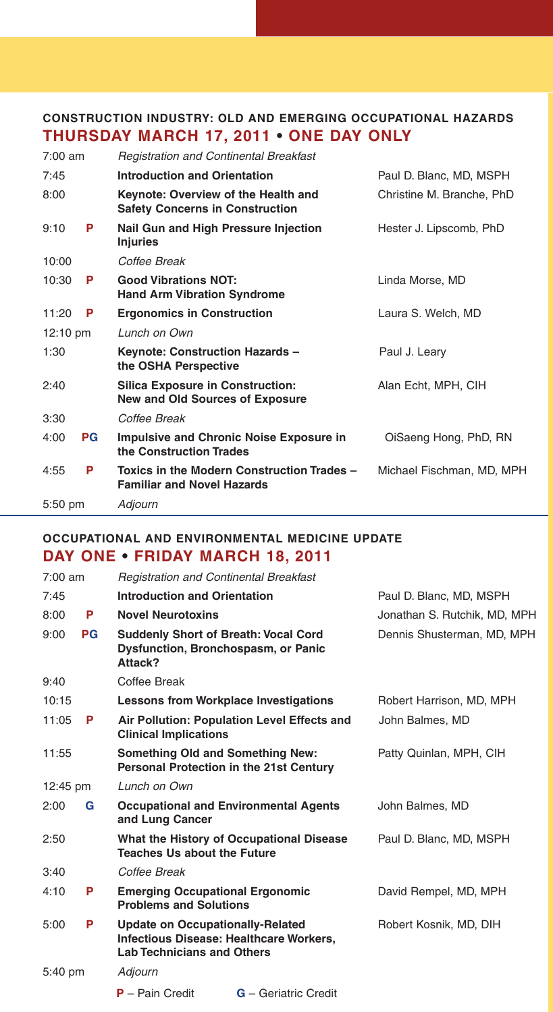# **CONSTRUCTION INDUSTRY: OLD AND EMERGING OCCUPATIONAL HAZARDS THURSDAY MARCH 17, 2011 • ONE DAY ONLY**

| $7:00$ am          |           | <b>Registration and Continental Breakfast</b>                                     |                           |
|--------------------|-----------|-----------------------------------------------------------------------------------|---------------------------|
| 7:45               |           | <b>Introduction and Orientation</b>                                               | Paul D. Blanc, MD, MSPH   |
| 8:00               |           | Keynote: Overview of the Health and<br><b>Safety Concerns in Construction</b>     | Christine M. Branche, PhD |
| 9:10               | P         | Nail Gun and High Pressure Injection<br><b>Injuries</b>                           | Hester J. Lipscomb, PhD   |
| 10:00              |           | Coffee Break                                                                      |                           |
| 10:30              | P         | <b>Good Vibrations NOT:</b><br><b>Hand Arm Vibration Syndrome</b>                 | Linda Morse, MD           |
| 11:20              | P         | <b>Ergonomics in Construction</b>                                                 | Laura S. Welch, MD        |
| $12:10 \text{ pm}$ |           | Lunch on Own                                                                      |                           |
| 1:30               |           | Keynote: Construction Hazards -<br>the OSHA Perspective                           | Paul J. Leary             |
| 2:40               |           | <b>Silica Exposure in Construction:</b><br><b>New and Old Sources of Exposure</b> | Alan Echt, MPH, CIH       |
| 3:30               |           | Coffee Break                                                                      |                           |
| 4:00               | <b>PG</b> | <b>Impulsive and Chronic Noise Exposure in</b><br>the Construction Trades         | OiSaeng Hong, PhD, RN     |
| 4:55               | P         | Toxics in the Modern Construction Trades -<br><b>Familiar and Novel Hazards</b>   | Michael Fischman, MD, MPH |
| 5:50 pm            |           | Adjourn                                                                           |                           |

# **OCCUPATIONAL AND ENVIRONMENTAL MEDICINE UPDATE DAY ONE • FRIDAY MARCH 18, 2011**

| $7:00$ am          |           | <b>Registration and Continental Breakfast</b>                                |                                                |                              |
|--------------------|-----------|------------------------------------------------------------------------------|------------------------------------------------|------------------------------|
| 7:45               |           | <b>Introduction and Orientation</b>                                          |                                                | Paul D. Blanc, MD, MSPH      |
| 8:00               | P         | <b>Novel Neurotoxins</b>                                                     |                                                | Jonathan S. Rutchik, MD, MPH |
| 9:00               | <b>PG</b> | <b>Suddenly Short of Breath: Vocal Cord</b><br>Attack?                       | <b>Dysfunction, Bronchospasm, or Panic</b>     | Dennis Shusterman, MD, MPH   |
| 9:40               |           | Coffee Break                                                                 |                                                |                              |
| 10:15              |           |                                                                              | <b>Lessons from Workplace Investigations</b>   | Robert Harrison, MD, MPH     |
| 11:05              | P         | <b>Clinical Implications</b>                                                 | Air Pollution: Population Level Effects and    | John Balmes, MD              |
| 11:55              |           | <b>Something Old and Something New:</b>                                      | <b>Personal Protection in the 21st Century</b> | Patty Quinlan, MPH, CIH      |
| $12:45 \text{ pm}$ |           | Lunch on Own                                                                 |                                                |                              |
| 2:00               | G         | and Lung Cancer                                                              | <b>Occupational and Environmental Agents</b>   | John Balmes, MD              |
| 2:50               |           | <b>Teaches Us about the Future</b>                                           | What the History of Occupational Disease       | Paul D. Blanc, MD, MSPH      |
| 3:40               |           | Coffee Break                                                                 |                                                |                              |
| 4:10               | P         | <b>Emerging Occupational Ergonomic</b><br><b>Problems and Solutions</b>      |                                                | David Rempel, MD, MPH        |
| 5:00               | P         | <b>Update on Occupationally-Related</b><br><b>Lab Technicians and Others</b> | <b>Infectious Disease: Healthcare Workers,</b> | Robert Kosnik, MD, DIH       |
| 5:40 pm            |           | Adjourn                                                                      |                                                |                              |
|                    |           | $P -$ Pain Credit                                                            | <b>G</b> - Geriatric Credit                    |                              |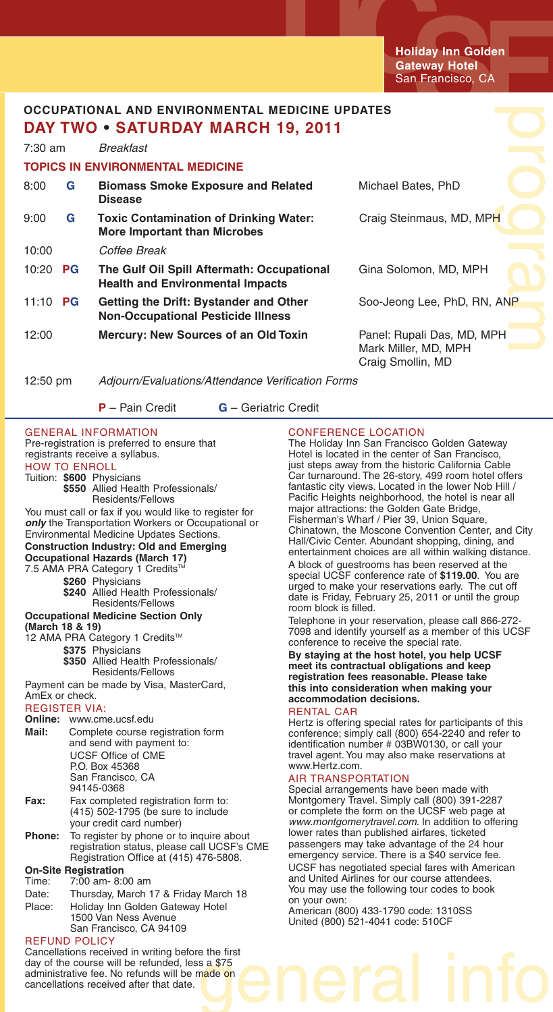**Holiday Inn Golden Gateway Hotel** San Francisco, CA

# **OCCUPATIONAL AND ENVIRONMENTAL MEDICINE UPDATES DAY TWO • SATURDAY MARCH 19, 2011**

| $7:30$ am          |           | Breakfast                                                                             |                                                                         |
|--------------------|-----------|---------------------------------------------------------------------------------------|-------------------------------------------------------------------------|
|                    |           | <b>TOPICS IN ENVIRONMENTAL MEDICINE</b>                                               |                                                                         |
| 8:00               | G         | <b>Biomass Smoke Exposure and Related</b><br><b>Disease</b>                           | Michael Bates, PhD                                                      |
| 9:00               | G         | <b>Toxic Contamination of Drinking Water:</b><br><b>More Important than Microbes</b>  | Craig Steinmaus, MD, MPH                                                |
| 10:00              |           | Coffee Break                                                                          |                                                                         |
| 10:20              | <b>PG</b> | The Gulf Oil Spill Aftermath: Occupational<br><b>Health and Environmental Impacts</b> | Gina Solomon, MD, MPH                                                   |
| 11:10 <b>PG</b>    |           | Getting the Drift: Bystander and Other<br><b>Non-Occupational Pesticide Illness</b>   | Soo-Jeong Lee, PhD, RN, ANP                                             |
| 12:00              |           | Mercury: New Sources of an Old Toxin                                                  | Panel: Rupali Das, MD, MPH<br>Mark Miller, MD, MPH<br>Craig Smollin, MD |
| $12:50 \text{ pm}$ |           | Adjourn/Evaluations/Attendance Verification Forms                                     |                                                                         |

**P** – Pain Credit **G** – Geriatric Credit

GENERAL INFORMATION Pre-registration is preferred to ensure that registrants receive a syllabus. HOW TO ENROLL Tuition: **\$600** Physicians **\$550** Allied Health Professionals/ Residents/Fellows You must call or fax if you would like to register for *only* the Transportation Workers or Occupational or Environmental Medicine Updates Sections. **Construction Industry: Old and Emerging Occupational Hazards (March 17)**  7.5 AMA PRA Category 1 Credits<sup>T</sup> **\$260** Physicians **\$240** Allied Health Professionals/ Residents/Fellows **Occupational Medicine Section Only (March 18 & 19)** 12 AMA PRA Category 1 Credits™ **\$375** Physicians **\$350** Allied Health Professionals/ Residents/Fellows Payment can be made by Visa, MasterCard, AmEx or check. REGISTER VIA: **Online:** www.cme.ucsf.edu **Mail:** Complete course registration form and send with payment to: UCSF Office of CME P.O. Box 45368 San Francisco, CA 94145-0368 **Fax:** Fax completed registration form to: (415) 502-1795 (be sure to include your credit card number) **Phone:** To register by phone or to inquire about registration status, please call UCSF's CME Registration Office at (415) 476-5808. **On-Site Registration** 7:00 am- 8:00 am Date: Thursday, March 17 & Friday March 18 Place: Holiday Inn Golden Gateway Hotel 1500 Van Ness Avenue San Francisco, CA 94109 REFUND POLICY

#### Cancellations received in writing before the first day of the course will be refunded, less a \$75 administrative fee. No refunds will be made on cancellations received after that date.

## CONFERENCE LOCATION

The Holiday Inn San Francisco Golden Gateway Hotel is located in the center of San Francisco, just steps away from the historic California Cable Car turnaround. The 26-story, 499 room hotel offers fantastic city views. Located in the lower Nob Hill / Pacific Heights neighborhood, the hotel is near all major attractions: the Golden Gate Bridge, Fisherman's Wharf / Pier 39, Union Square, Chinatown, the Moscone Convention Center, and City Hall/Civic Center. Abundant shopping, dining, and entertainment choices are all within walking distance. A block of guestrooms has been reserved at the special UCSF conference rate of **\$119.00**. You are urged to make your reservations early. The cut off date is Friday, February 25, 2011 or until the group room block is filled.

Telephone in your reservation, please call 866-272- 7098 and identify yourself as a member of this UCSF conference to receive the special rate.

**By staying at the host hotel, you help UCSF meet its contractual obligations and keep registration fees reasonable. Please take this into consideration when making your accommodation decisions.**

### RENTAL CAR

Hertz is offering special rates for participants of this conference; simply call (800) 654-2240 and refer to identification number # 03BW0130, or call your travel agent. You may also make reservations at www.Hertz.com.

### AIR TRANSPORTATION

Special arrangements have been made with Montgomery Travel. Simply call (800) 391-2287 or complete the form on the UCSF web page at *www.montgomerytravel.com*. In addition to offering lower rates than published airfares, ticketed passengers may take advantage of the 24 hour emergency service. There is a \$40 service fee. UCSF has negotiated special fares with American and United Airlines for our course attendees. You may use the following tour codes to book on your own:

American (800) 433-1790 code: 1310SS United (800) 521-4041 code: 510CF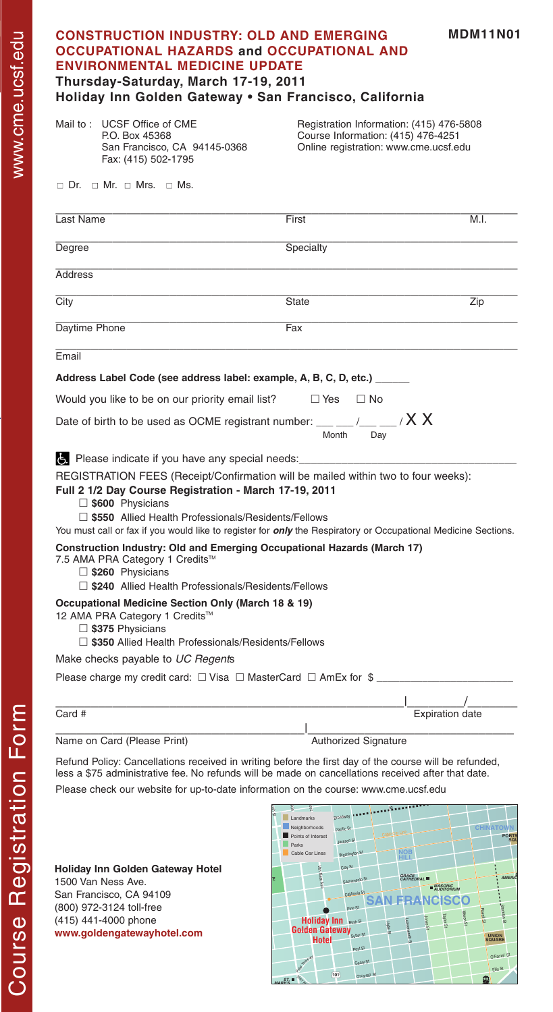|                | <b>OCCUPATIONAL HAZARDS and OCCUPATIONAL AND</b>                                                                                                                               | <b>CONSTRUCTION INDUSTRY: OLD AND EMERGING</b>          | <b>MDM11N01</b>                                                                   |
|----------------|--------------------------------------------------------------------------------------------------------------------------------------------------------------------------------|---------------------------------------------------------|-----------------------------------------------------------------------------------|
|                | <b>ENVIRONMENTAL MEDICINE UPDATE</b><br>Thursday-Saturday, March 17-19, 2011                                                                                                   |                                                         |                                                                                   |
|                | Holiday Inn Golden Gateway . San Francisco, California                                                                                                                         |                                                         |                                                                                   |
|                | Mail to: UCSF Office of CME<br>P.O. Box 45368<br>San Francisco, CA 94145-0368<br>Fax: (415) 502-1795                                                                           | Course Information: (415) 476-4251                      | Registration Information: (415) 476-5808<br>Online registration: www.cme.ucsf.edu |
|                | $\Box$ Dr. $\Box$ Mr. $\Box$ Mrs. $\Box$ Ms.                                                                                                                                   |                                                         |                                                                                   |
| Last Name      |                                                                                                                                                                                | First                                                   | M.I.                                                                              |
| Degree         |                                                                                                                                                                                | Specialty                                               |                                                                                   |
| <b>Address</b> |                                                                                                                                                                                |                                                         |                                                                                   |
| City           |                                                                                                                                                                                | <b>State</b>                                            | $\overline{Zip}$                                                                  |
| Daytime Phone  |                                                                                                                                                                                | Fax                                                     |                                                                                   |
| Email          |                                                                                                                                                                                |                                                         |                                                                                   |
|                | Address Label Code (see address label: example, A, B, C, D, etc.) _____                                                                                                        |                                                         |                                                                                   |
|                |                                                                                                                                                                                |                                                         |                                                                                   |
|                | Would you like to be on our priority email list?                                                                                                                               | $\Box$ Yes<br>$\Box$ No                                 |                                                                                   |
|                | Date of birth to be used as OCME registrant number: $\_\_\_\_\_\_\_\_\_\_\_\_\_\_\_$                                                                                           | Month<br>Day                                            |                                                                                   |
|                |                                                                                                                                                                                |                                                         |                                                                                   |
|                | REGISTRATION FEES (Receipt/Confirmation will be mailed within two to four weeks):                                                                                              |                                                         |                                                                                   |
|                | Full 2 1/2 Day Course Registration - March 17-19, 2011                                                                                                                         |                                                         |                                                                                   |
|                | S600 Physicians                                                                                                                                                                |                                                         |                                                                                   |
|                | □ \$550 Allied Health Professionals/Residents/Fellows<br>You must call or fax if you would like to register for <i>only</i> the Respiratory or Occupational Medicine Sections. |                                                         |                                                                                   |
|                | <b>Construction Industry: Old and Emerging Occupational Hazards (March 17)</b>                                                                                                 |                                                         |                                                                                   |
|                | 7.5 AMA PRA Category 1 Credits™                                                                                                                                                |                                                         |                                                                                   |
|                | $\Box$ \$260 Physicians                                                                                                                                                        |                                                         |                                                                                   |
|                |                                                                                                                                                                                |                                                         |                                                                                   |
|                | □ \$240 Allied Health Professionals/Residents/Fellows<br><b>Occupational Medicine Section Only (March 18 &amp; 19)</b>                                                         |                                                         |                                                                                   |
|                | 12 AMA PRA Category 1 Credits™                                                                                                                                                 |                                                         |                                                                                   |
|                | $\Box$ \$375 Physicians<br>$\Box$ \$350 Allied Health Professionals/Residents/Fellows                                                                                          |                                                         |                                                                                   |
|                | Make checks payable to UC Regents                                                                                                                                              |                                                         |                                                                                   |
|                | Please charge my credit card: $\Box$ Visa $\Box$ MasterCard $\Box$ AmEx for \$                                                                                                 |                                                         |                                                                                   |
|                |                                                                                                                                                                                |                                                         |                                                                                   |
|                |                                                                                                                                                                                |                                                         | Expiration date                                                                   |
|                |                                                                                                                                                                                |                                                         |                                                                                   |
|                | Name on Card (Please Print)<br>Refund Policy: Cancellations received in writing before the first day of the course will be refunded,                                           | <b>Authorized Signature</b>                             |                                                                                   |
|                | less a \$75 administrative fee. No refunds will be made on cancellations received after that date.                                                                             |                                                         |                                                                                   |
| Card #         | Please check our website for up-to-date information on the course: www.cme.ucsf.edu                                                                                            |                                                         |                                                                                   |
|                |                                                                                                                                                                                | <b>Broadway</b><br>Landmarks<br>Neighborhoods           |                                                                                   |
|                |                                                                                                                                                                                | Pacific St.<br>Points of Interest<br>tackson S<br>Parks | <b>CHINATOW</b><br>PORT                                                           |
|                | Holiday Inn Golden Gateway Hotel                                                                                                                                               | Cable Car Lines<br><b>Maching</b> <sup>to</sup>         | <b>NOB</b>                                                                        |

www.goldengatewayhotel.com 1500 Van Ness Ave. San Francisco, CA 94109 (800) 972-3124 toll-free (415) 441-4000 phone